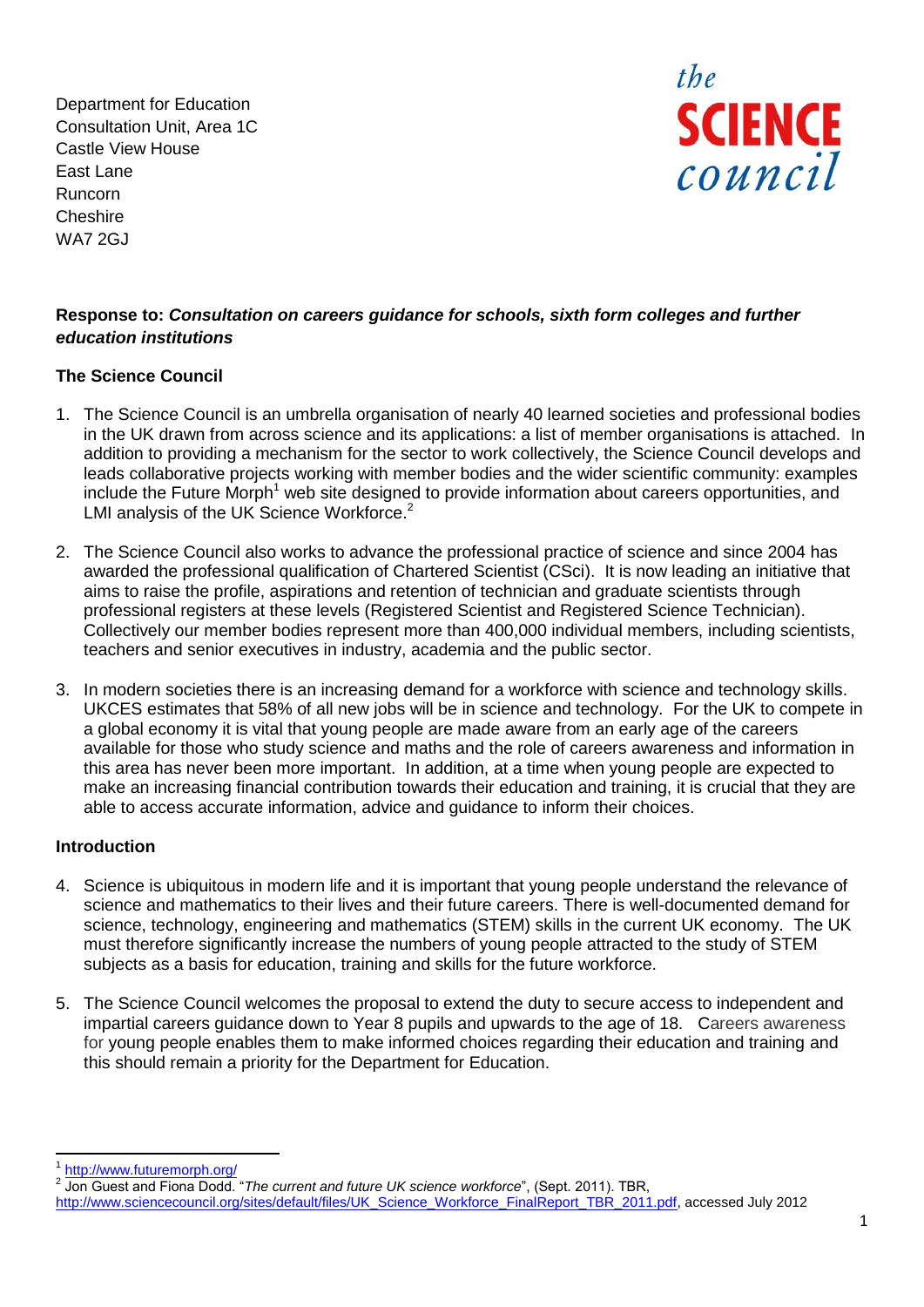Department for Education Consultation Unit, Area 1C Castle View House East Lane Runcorn **Cheshire** WA7 2GJ



## **Response to:** *Consultation on careers guidance for schools, sixth form colleges and further education institutions*

## **The Science Council**

- 1. The Science Council is an umbrella organisation of nearly 40 learned societies and professional bodies in the UK drawn from across science and its applications: a list of member organisations is attached. In addition to providing a mechanism for the sector to work collectively, the Science Council develops and leads collaborative projects working with member bodies and the wider scientific community: examples include the Future Morph<sup>1</sup> web site designed to provide information about careers opportunities, and LMI analysis of the UK Science Workforce.<sup>2</sup>
- 2. The Science Council also works to advance the professional practice of science and since 2004 has awarded the professional qualification of Chartered Scientist (CSci). It is now leading an initiative that aims to raise the profile, aspirations and retention of technician and graduate scientists through professional registers at these levels (Registered Scientist and Registered Science Technician). Collectively our member bodies represent more than 400,000 individual members, including scientists, teachers and senior executives in industry, academia and the public sector.
- 3. In modern societies there is an increasing demand for a workforce with science and technology skills. UKCES estimates that 58% of all new jobs will be in science and technology. For the UK to compete in a global economy it is vital that young people are made aware from an early age of the careers available for those who study science and maths and the role of careers awareness and information in this area has never been more important. In addition, at a time when young people are expected to make an increasing financial contribution towards their education and training, it is crucial that they are able to access accurate information, advice and guidance to inform their choices.

#### **Introduction**

- 4. Science is ubiquitous in modern life and it is important that young people understand the relevance of science and mathematics to their lives and their future careers. There is well-documented demand for science, technology, engineering and mathematics (STEM) skills in the current UK economy. The UK must therefore significantly increase the numbers of young people attracted to the study of STEM subjects as a basis for education, training and skills for the future workforce.
- 5. The Science Council welcomes the proposal to extend the duty to secure access to independent and impartial careers guidance down to Year 8 pupils and upwards to the age of 18. Careers awareness for young people enables them to make informed choices regarding their education and training and this should remain a priority for the Department for Education.

 $\overline{a}$ 1 <http://www.futuremorph.org/>

<sup>2</sup> Jon Guest and Fiona Dodd. "*The current and future UK science workforce*", (Sept. 2011). TBR, [http://www.sciencecouncil.org/sites/default/files/UK\\_Science\\_Workforce\\_FinalReport\\_TBR\\_2011.pdf,](http://www.sciencecouncil.org/sites/default/files/UK_Science_Workforce_FinalReport_TBR_2011.pdf) accessed July 2012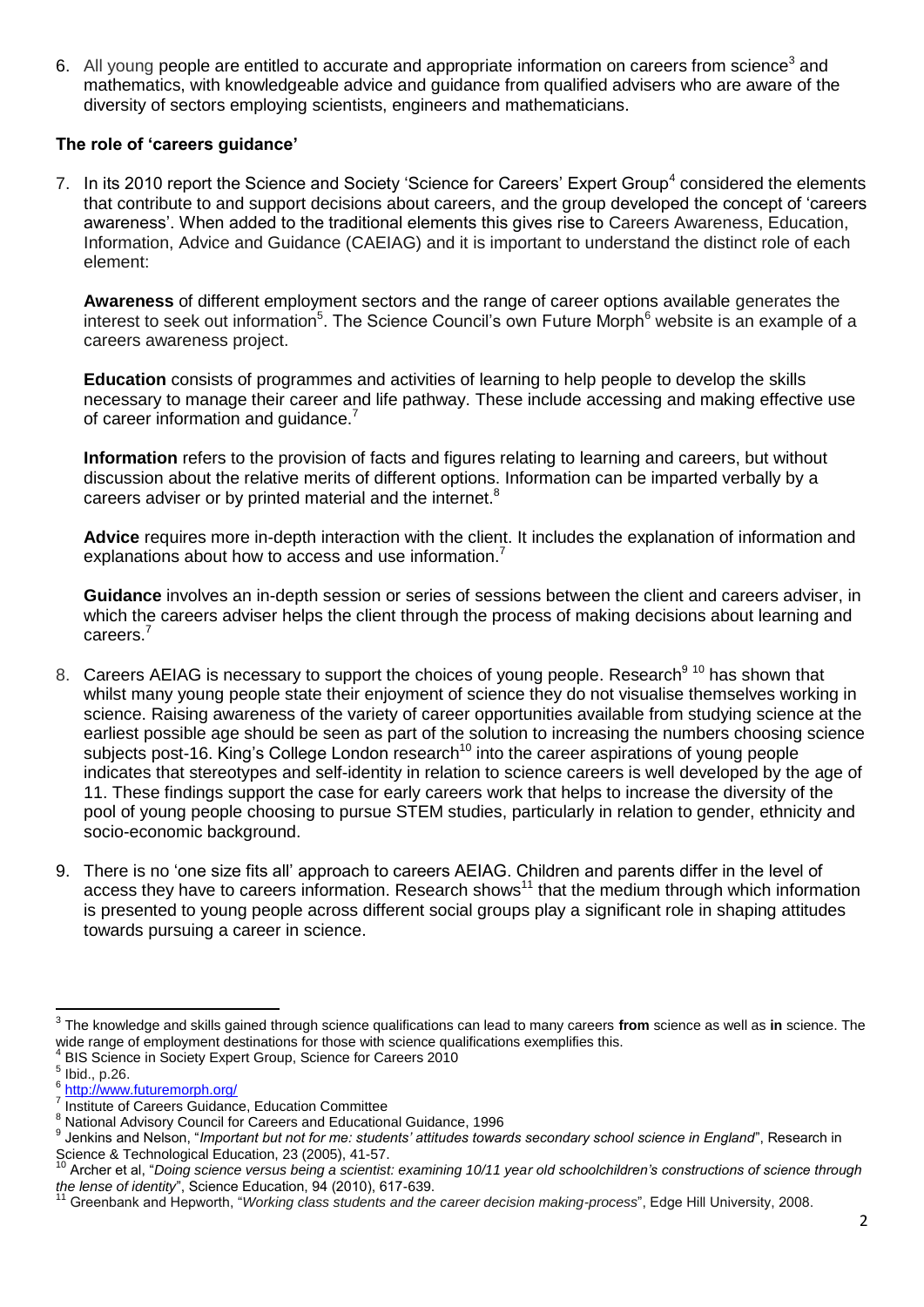6. All young people are entitled to accurate and appropriate information on careers from science<sup>3</sup> and mathematics, with knowledgeable advice and guidance from qualified advisers who are aware of the diversity of sectors employing scientists, engineers and mathematicians.

#### **The role of 'careers guidance'**

7. In its 2010 report the Science and Society 'Science for Careers' Expert Group<sup>4</sup> considered the elements that contribute to and support decisions about careers, and the group developed the concept of 'careers awareness'. When added to the traditional elements this gives rise to Careers Awareness, Education, Information, Advice and Guidance (CAEIAG) and it is important to understand the distinct role of each element:

**Awareness** of different employment sectors and the range of career options available generates the interest to seek out information<sup>5</sup>. The Science Council's own Future Morph<sup>6</sup> website is an example of a careers awareness project.

**Education** consists of programmes and activities of learning to help people to develop the skills necessary to manage their career and life pathway. These include accessing and making effective use of career information and quidance.<sup>7</sup>

**Information** refers to the provision of facts and figures relating to learning and careers, but without discussion about the relative merits of different options. Information can be imparted verbally by a careers adviser or by printed material and the internet.<sup>8</sup>

**Advice** requires more in-depth interaction with the client. It includes the explanation of information and explanations about how to access and use information.<sup>7</sup>

**Guidance** involves an in-depth session or series of sessions between the client and careers adviser, in which the careers adviser helps the client through the process of making decisions about learning and careers.<sup>7</sup>

- 8. Careers AEIAG is necessary to support the choices of young people. Research<sup>9 10</sup> has shown that whilst many young people state their enjoyment of science they do not visualise themselves working in science. Raising awareness of the variety of career opportunities available from studying science at the earliest possible age should be seen as part of the solution to increasing the numbers choosing science subjects post-16. King's College London research<sup>10</sup> into the career aspirations of young people indicates that stereotypes and self-identity in relation to science careers is well developed by the age of 11. These findings support the case for early careers work that helps to increase the diversity of the pool of young people choosing to pursue STEM studies, particularly in relation to gender, ethnicity and socio-economic background.
- 9. There is no 'one size fits all' approach to careers AEIAG. Children and parents differ in the level of access they have to careers information. Research shows<sup>11</sup> that the medium through which information is presented to young people across different social groups play a significant role in shaping attitudes towards pursuing a career in science.

<sup>-&</sup>lt;br>3 The knowledge and skills gained through science qualifications can lead to many careers **from** science as well as **in** science. The wide range of employment destinations for those with science qualifications exemplifies this. 4

BIS Science in Society Expert Group, Science for Careers 2010

<sup>5</sup> Ibid., p.26.

<sup>&</sup>lt;sup>6</sup> <http://www.futuremorph.org/> 7

Institute of Careers Guidance, Education Committee

<sup>8</sup> Institute of School's Schaanse, Education Schmintes<br>8 National Advisory Council for Careers and Educational Guidance, 1996

<sup>9</sup> Jenkins and Nelson, "*Important but not for me: students' attitudes towards secondary school science in England*", Research in Science & Technological Education, 23 (2005), 41-57.

<sup>10</sup> Archer et al, "*Doing science versus being a scientist: examining 10/11 year old schoolchildren's constructions of science through the lense of identity*", Science Education, 94 (2010), 617-639.

<sup>11</sup> Greenbank and Hepworth, "*Working class students and the career decision making-process*", Edge Hill University, 2008.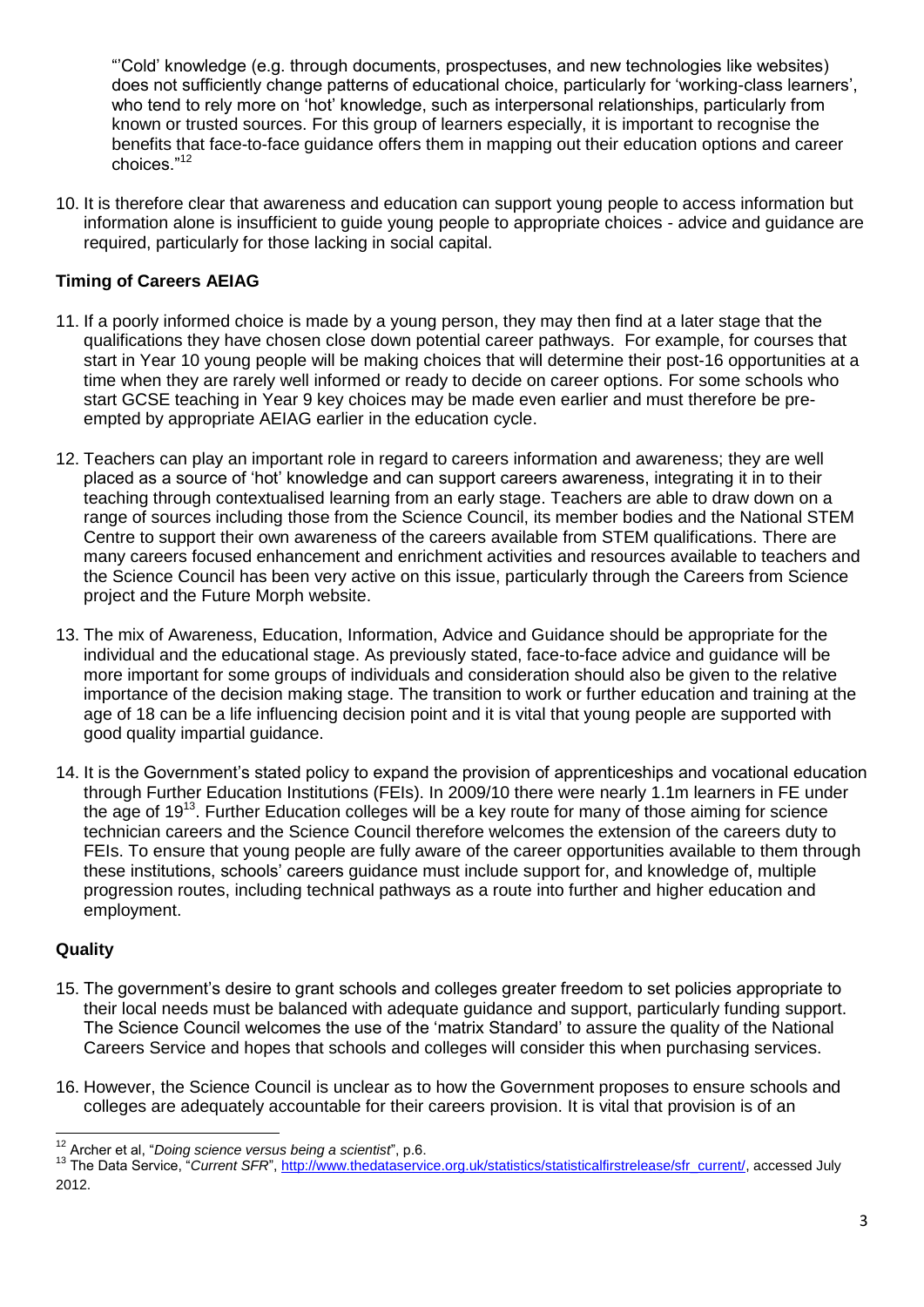"'Cold' knowledge (e.g. through documents, prospectuses, and new technologies like websites) does not sufficiently change patterns of educational choice, particularly for 'working-class learners', who tend to rely more on 'hot' knowledge, such as interpersonal relationships, particularly from known or trusted sources. For this group of learners especially, it is important to recognise the benefits that face-to-face guidance offers them in mapping out their education options and career choices."<sup>12</sup>

10. It is therefore clear that awareness and education can support young people to access information but information alone is insufficient to guide young people to appropriate choices - advice and guidance are required, particularly for those lacking in social capital.

# **Timing of Careers AEIAG**

- 11. If a poorly informed choice is made by a young person, they may then find at a later stage that the qualifications they have chosen close down potential career pathways. For example, for courses that start in Year 10 young people will be making choices that will determine their post-16 opportunities at a time when they are rarely well informed or ready to decide on career options. For some schools who start GCSE teaching in Year 9 key choices may be made even earlier and must therefore be preempted by appropriate AEIAG earlier in the education cycle.
- 12. Teachers can play an important role in regard to careers information and awareness; they are well placed as a source of 'hot' knowledge and can support careers awareness, integrating it in to their teaching through contextualised learning from an early stage. Teachers are able to draw down on a range of sources including those from the Science Council, its member bodies and the National STEM Centre to support their own awareness of the careers available from STEM qualifications. There are many careers focused enhancement and enrichment activities and resources available to teachers and the Science Council has been very active on this issue, particularly through the Careers from Science project and the Future Morph website.
- 13. The mix of Awareness, Education, Information, Advice and Guidance should be appropriate for the individual and the educational stage. As previously stated, face-to-face advice and guidance will be more important for some groups of individuals and consideration should also be given to the relative importance of the decision making stage. The transition to work or further education and training at the age of 18 can be a life influencing decision point and it is vital that young people are supported with good quality impartial guidance.
- 14. It is the Government's stated policy to expand the provision of apprenticeships and vocational education through Further Education Institutions (FEIs). In 2009/10 there were nearly 1.1m learners in FE under the age of 19<sup>13</sup>. Further Education colleges will be a key route for many of those aiming for science technician careers and the Science Council therefore welcomes the extension of the careers duty to FEIs. To ensure that young people are fully aware of the career opportunities available to them through these institutions, schools' careers guidance must include support for, and knowledge of, multiple progression routes, including technical pathways as a route into further and higher education and employment.

## **Quality**

- 15. The government's desire to grant schools and colleges greater freedom to set policies appropriate to their local needs must be balanced with adequate guidance and support, particularly funding support. The Science Council welcomes the use of the 'matrix Standard' to assure the quality of the National Careers Service and hopes that schools and colleges will consider this when purchasing services.
- 16. However, the Science Council is unclear as to how the Government proposes to ensure schools and colleges are adequately accountable for their careers provision. It is vital that provision is of an

 $\overline{a}$ <sup>12</sup> Archer et al, "*Doing science versus being a scientist*", p.6. **a**

<sup>&</sup>lt;sup>13</sup> The Data Service, "Current SFR", [http://www.thedataservice.org.uk/statistics/statisticalfirstrelease/sfr\\_current/,](http://www.thedataservice.org.uk/statistics/statisticalfirstrelease/sfr_current/) accessed July 2012.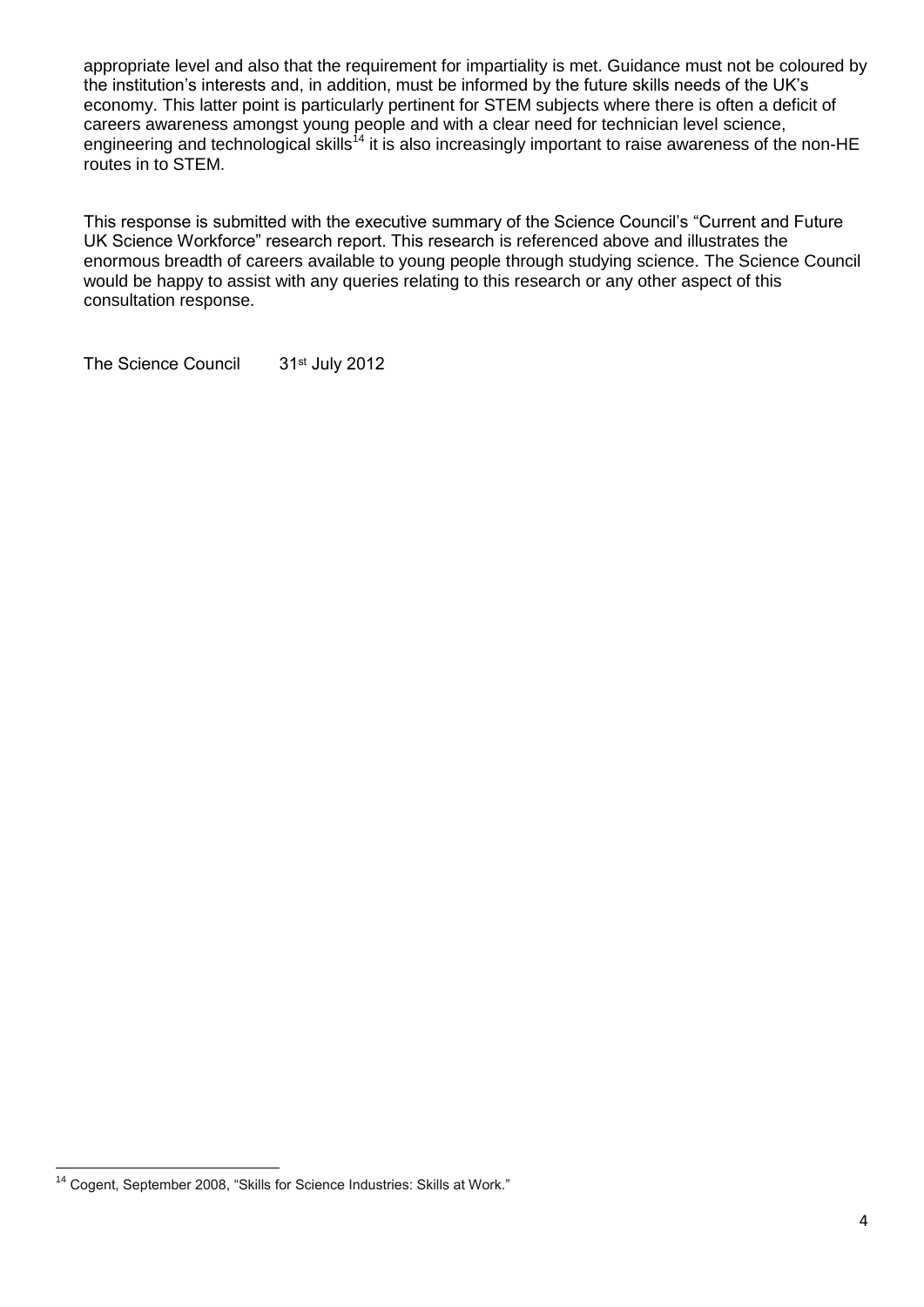appropriate level and also that the requirement for impartiality is met. Guidance must not be coloured by the institution's interests and, in addition, must be informed by the future skills needs of the UK's economy. This latter point is particularly pertinent for STEM subjects where there is often a deficit of careers awareness amongst young people and with a clear need for technician level science, engineering and technological skills<sup>14</sup> it is also increasingly important to raise awareness of the non-HE routes in to STEM.

This response is submitted with the executive summary of the Science Council's "Current and Future UK Science Workforce" research report. This research is referenced above and illustrates the enormous breadth of careers available to young people through studying science. The Science Council would be happy to assist with any queries relating to this research or any other aspect of this consultation response.

The Science Council 31<sup>st</sup> July 2012

**<sup>.</sup>** <sup>14</sup> Cogent, September 2008, "Skills for Science Industries: Skills at Work."